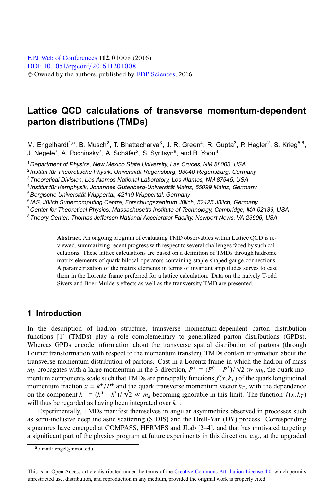# **Lattice QCD calculations of transverse momentum-dependent parton distributions (TMDs)**

M. Engelhardt<sup>1,a</sup>, B. Musch<sup>2</sup>, T. Bhattacharya<sup>3</sup>, J. R. Green<sup>4</sup>, R. Gupta<sup>3</sup>, P. Hägler<sup>2</sup>, S. Krieg<sup>5,6</sup>, J. Negele<sup>7</sup>, A. Pochinsky<sup>7</sup>, A. Schäfer<sup>2</sup>, S. Syritsyn<sup>8</sup>, and B. Yoon<sup>3</sup>

<sup>1</sup> Department of Physics, New Mexico State University, Las Cruces, NM 88003, USA

<sup>2</sup> Institut für Theoretische Physik, Universität Regensburg, 93040 Regensburg, Germany

<sup>3</sup>Theoretical Division, Los Alamos National Laboratory, Los Alamos, NM 87545, USA

<sup>4</sup>Institut für Kernphysik, Johannes Gutenberg-Universität Mainz, <sup>55099</sup> Mainz, Germany

<sup>5</sup> Bergische Universität Wuppertal, 42119 Wuppertal, Germany

 $6$ IAS, Jülich Supercomputing Centre, Forschungszentrum Jülich, 52425 Jülich, Germany

 $7$  Center for Theoretical Physics, Massachusetts Institute of Technology, Cambridge, MA 02139, USA

<sup>8</sup>Theory Center, Thomas Jefferson National Accelerator Facility, Newport News, VA 23606, USA

**Abstract.** An ongoing program of evaluating TMD observables within Lattice QCD is reviewed, summarizing recent progress with respect to several challenges faced by such calculations. These lattice calculations are based on a definition of TMDs through hadronic matrix elements of quark bilocal operators containing staple-shaped gauge connections. A parametrization of the matrix elements in terms of invariant amplitudes serves to cast them in the Lorentz frame preferred for a lattice calculation. Data on the naively T-odd Sivers and Boer-Mulders effects as well as the transversity TMD are presented.

### **1 Introduction**

In the description of hadron structure, transverse momentum-dependent parton distribution functions [1] (TMDs) play a role complementary to generalized parton distributions (GPDs). Whereas GPDs encode information about the transverse spatial distribution of partons (through Fourier transformation with respect to the momentum transfer), TMDs contain information about the transverse momentum distribution of partons. Cast in a Lorentz frame in which the hadron of mass *m<sub>h</sub>* propagates with a large momentum in the 3-direction,  $P^+ \equiv (P^0 + P^3)/\sqrt{2} \gg m_h$ , the quark momentum components scale such that TMDs are principally functions  $f(x, k_T)$  of the quark longitudinal momentum fraction  $x = k^+/P^+$  and the quark transverse momentum vector  $k_T$ , with the dependence on the component  $k^- \equiv (k^0 - k^3)/\sqrt{2} \ll m_h$  becoming ignorable in this limit. The function  $f(x, k_T)$ will thus be regarded as having been integrated over *k*−.

Experimentally, TMDs manifest themselves in angular asymmetries observed in processes such as semi-inclusive deep inelastic scattering (SIDIS) and the Drell-Yan (DY) process. Corresponding signatures have emerged at COMPASS, HERMES and JLab [2–4], and that has motivated targeting a significant part of the physics program at future experiments in this direction, e.g., at the upgraded

 $a$ e-mail: engel@nmsu.edu

This is an Open Access article distributed under the terms of the Creative Commons Attribution License 4.0, which permits unrestricted use, distribution, and reproduction in any medium, provided the original work is properly cited.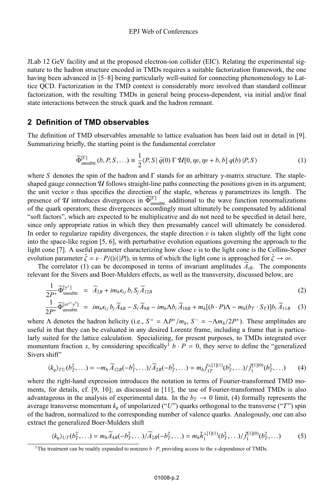JLab 12 GeV facility and at the proposed electron-ion collider (EIC). Relating the experimental signature to the hadron structure encoded in TMDs requires a suitable factorization framework, the one having been advanced in [5–8] being particularly well-suited for connecting phenomenology to Lattice QCD. Factorization in the TMD context is considerably more involved than standard collinear factorization, with the resulting TMDs in general being process-dependent, via initial and/or final state interactions between the struck quark and the hadron remnant.

### **2 Definition of TMD observables**

The definition of TMD observables amenable to lattice evaluation has been laid out in detail in [9]. Summarizing briefly, the starting point is the fundamental correlator

$$
\widetilde{\Phi}_{\text{unsubtr.}}^{[\Gamma]}(b, P, S, \ldots) \equiv \frac{1}{2} \langle P, S | \overline{q}(0) \Gamma \mathcal{U}[0, \eta v, \eta v + b, b] q(b) | P, S \rangle \tag{1}
$$

where *S* denotes the spin of the hadron and  $\Gamma$  stands for an arbitrary  $\gamma$ -matrix structure. The stapleshaped gauge connection  $\mathcal U$  follows straight-line paths connecting the positions given in its argument; the unit vector  $v$  thus specifies the direction of the staple, whereas  $\eta$  parametrizes its length. The presence of U introduces divergences in  $\widetilde{\Phi}_{\text{unsubtr.}}^{[\Gamma]}$  additional to the wave function renormalizations of the quark operators; these divergences accordingly must ultimately be compensated by additional "soft factors", which are expected to be multiplicative and do not need to be specified in detail here, since only appropriate ratios in which they then presumably cancel will ultimately be considered. In order to regularize rapidity divergences, the staple direction  $\nu$  is taken slightly off the light cone into the space-like region [5, 6], with perturbative evolution equations governing the approach to the light cone [7]. A useful parameter characterizing how close  $v$  is to the light cone is the Collins-Soper evolution parameter  $\hat{\zeta} = v \cdot P/(|v||P|)$ , in terms of which the light cone is approached for  $\hat{\zeta} \to \infty$ .

The correlator (1) can be decomposed in terms of invariant amplitudes  $\widetilde{A}_{iB}$ . The components relevant for the Sivers and Boer-Mulders effects, as well as the transversity, discussed below, are

$$
\frac{1}{2P^+}\widetilde{\Phi}_{\text{unsubtr.}}^{[j^+]} = \widetilde{A}_{2B} + im_h \epsilon_{ij} b_i S_j \widetilde{A}_{12B}
$$
\n
$$
\frac{1}{2P^+}\widetilde{\Phi}_{\text{unsubtr.}}^{[j^{j^+}]_j} = im_f \epsilon_{ij} b_i \widetilde{A}_{12} - S_i \widetilde{A}_{22} - im_f \Delta b_i \widetilde{A}_{12} + m_i [(b_1, P)\Delta - m_i (b_2, S_2)] b_i \widetilde{A}_{12}.
$$
\n(2)

$$
\frac{1}{2P^+}\widetilde{\Phi}_{\text{unsubtr.}}^{\left[ i\sigma^{i+}\gamma^5\right]} = im_h\epsilon_{ij}b_j\widetilde{A}_{4B}-S_i\widetilde{A}_{9B}-im_h\Lambda b_i\widetilde{A}_{10B}+m_h[(b\cdot P)\Lambda-m_h(b_T\cdot S_T)]b_i\widetilde{A}_{11B} \quad (3)
$$

where  $\Lambda$  denotes the hadron helicity (i.e.,  $S^+ = \Lambda P^+ / m_h$ ,  $S^- = -\Lambda m_h / 2P^+$ ). These amplitudes are useful in that they can be evaluated in any desired Lorentz frame, including a frame that is particularly suited for the lattice calculation. Specializing, for present purposes, to TMDs integrated over momentum fraction *x*, by considering specifically<sup>1</sup>  $b \cdot P = 0$ , they serve to define the "generalized" Sivers shift"

$$
\langle k_y \rangle_{TU}(b_T^2, \ldots) = -m_h \widetilde{A}_{12B}(-b_T^2, \ldots) / \widetilde{A}_{2B}(-b_T^2, \ldots) = m_h \widetilde{f}_{1T}^{\perp [1](1)}(b_T^2, \ldots) / \widetilde{f}_1^{[1](0)}(b_T^2, \ldots)
$$
 (4)

where the right-hand expression introduces the notation in terms of Fourier-transformed TMD moments, for details, cf. [9, 10]; as discussed in [11], the use of Fourier-transformed TMDs is also advantageous in the analysis of experimental data. In the  $b_T \rightarrow 0$  limit, (4) formally represents the average transverse momentum  $k<sub>u</sub>$  of unpolarized ("*U*") quarks orthogonal to the transverse ("*T*") spin of the hadron, normalized to the corresponding number of valence quarks. Analogously, one can also extract the generalized Boer-Mulders shift

$$
\langle k_y \rangle_{UT}(b_T^2, \ldots) = m_h \widetilde{A}_{4B}(-b_T^2, \ldots) / \widetilde{A}_{2B}(-b_T^2, \ldots) = m_h \widetilde{h}_1^{\perp [1](1)}(b_T^2, \ldots) / \widetilde{f}_1^{(1)(0)}(b_T^2, \ldots)
$$
 (5)

<sup>&</sup>lt;sup>1</sup>The treatment can be readily expanded to nonzero  $b \cdot P$ , providing access to the *x*-dependence of TMDs.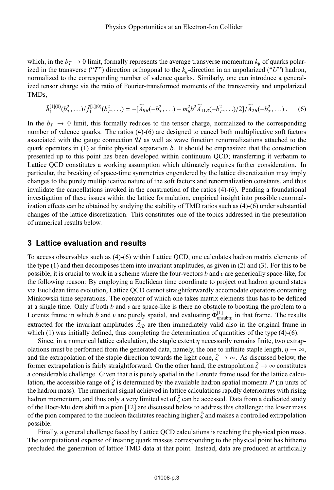which, in the  $b_T \rightarrow 0$  limit, formally represents the average transverse momentum  $k_y$  of quarks polarized in the transverse ("*T*") direction orthogonal to the  $k_y$ -direction in an unpolarized ("*U*") hadron, normalized to the corresponding number of valence quarks. Similarly, one can introduce a generalized tensor charge via the ratio of Fourier-transformed moments of the transversity and unpolarized TMDs,

$$
\tilde{h}_1^{[1](0)}(b_T^2,\ldots)/\tilde{f}_1^{[1](0)}(b_T^2,\ldots) = -[\widetilde{A}_{9B}(-b_T^2,\ldots)-m_h^2 b^2 \widetilde{A}_{11B}(-b_T^2,\ldots)/2]/\widetilde{A}_{2B}(-b_T^2,\ldots).
$$
 (6)

In the  $b_T \rightarrow 0$  limit, this formally reduces to the tensor charge, normalized to the corresponding number of valence quarks. The ratios (4)-(6) are designed to cancel both multiplicative soft factors associated with the gauge connection  $\mathcal U$  as well as wave function renormalizations attached to the quark operators in (1) at finite physical separation *b*. It should be emphasized that the construction presented up to this point has been developed within continuum QCD; transferring it verbatim to Lattice QCD constitutes a working assumption which ultimately requires further consideration. In particular, the breaking of space-time symmetries engendered by the lattice discretization may imply changes to the purely multiplicative nature of the soft factors and renormalization constants, and thus invalidate the cancellations invoked in the construction of the ratios (4)-(6). Pending a foundational investigation of these issues within the lattice formulation, empirical insight into possible renormalization effects can be obtained by studying the stability of TMD ratios such as (4)-(6) under substantial changes of the lattice discretization. This constitutes one of the topics addressed in the presentation of numerical results below.

#### **3 Lattice evaluation and results**

To access observables such as (4)-(6) within Lattice QCD, one calculates hadron matrix elements of the type (1) and then decomposes them into invariant amplitudes, as given in (2) and (3). For this to be possible, it is crucial to work in a scheme where the four-vectors *b* and v are generically space-like, for the following reason: By employing a Euclidean time coordinate to project out hadron ground states via Euclidean time evolution, Lattice QCD cannot straightforwardly accomodate operators containing Minkowski time separations. The operator of which one takes matrix elements thus has to be defined at a single time. Only if both *b* and v are space-like is there no obstacle to boosting the problem to a Lorentz frame in which *b* and *v* are purely spatial, and evaluating  $\widetilde{\Phi}_{unsubtr.}^{[1]}$  in that frame. The results extracted for the invariant amplitudes  $\widetilde{A}_{iB}$  are then immediately valid also in the original frame in which (1) was initially defined, thus completing the determination of quantities of the type (4)-(6).

Since, in a numerical lattice calculation, the staple extent  $\eta$  necessarily remains finite, two extrapolations must be performed from the generated data, namely, the one to infinite staple length,  $\eta \to \infty$ , and the extrapolation of the staple direction towards the light cone,  $\hat{\zeta} \to \infty$ . As discussed below, the former extrapolation is fairly straightforward. On the other hand, the extrapolation  $\hat{\zeta} \to \infty$  constitutes a considerable challenge. Given that  $v$  is purely spatial in the Lorentz frame used for the lattice calculation, the accessible range of  $\hat{\zeta}$  is determined by the available hadron spatial momenta *P* (in units of the hadron mass). The numerical signal achieved in lattice calculations rapidly deteriorates with rising hadron momentum, and thus only a very limited set of  $\hat{\zeta}$  can be accessed. Data from a dedicated study of the Boer-Mulders shift in a pion [12] are discussed below to address this challenge; the lower mass of the pion compared to the nucleon facilitates reaching higher  $\zeta$  and makes a controlled extrapolation possible.

Finally, a general challenge faced by Lattice QCD calculations is reaching the physical pion mass. The computational expense of treating quark masses corresponding to the physical point has hitherto precluded the generation of lattice TMD data at that point. Instead, data are produced at artificially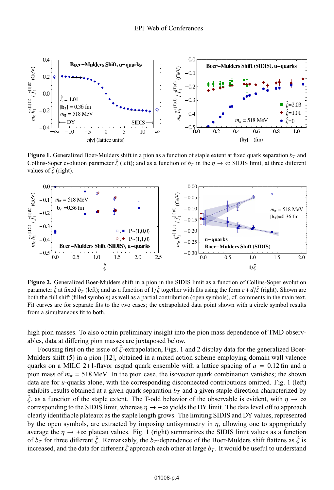

**Figure 1.** Generalized Boer-Mulders shift in a pion as a function of staple extent at fixed quark separation  $b<sub>T</sub>$  and Collins-Soper evolution parameter  $\hat{\zeta}$  (left); and as a function of  $b_T$  in the  $\eta \to \infty$  SIDIS limit, at three different values of  $\hat{\zeta}$  (right).



**Figure 2.** Generalized Boer-Mulders shift in a pion in the SIDIS limit as a function of Collins-Soper evolution parameter  $\hat{\zeta}$  at fixed  $b_T$  (left); and as a function of  $1/\hat{\zeta}$  together with fits using the form  $c + d/\hat{\zeta}$  (right). Shown are both the full shift (filled symbols) as well as a partial contribution (open symbols), cf. comments in the main text. Fit curves are for separate fits to the two cases; the extrapolated data point shown with a circle symbol results from a simultaneous fit to both.

high pion masses. To also obtain preliminary insight into the pion mass dependence of TMD observables, data at differing pion masses are juxtaposed below.

Focusing first on the issue of  $\hat{\zeta}$ -extrapolation, Figs. 1 and 2 display data for the generalized Boer-Mulders shift (5) in a pion [12], obtained in a mixed action scheme employing domain wall valence quarks on a MILC 2+1-flavor asqtad quark ensemble with a lattice spacing of *a* = 0.12 fm and a pion mass of  $m_\pi = 518 \text{ MeV}$ . In the pion case, the isovector quark combination vanishes; the shown data are for *u*-quarks alone, with the corresponding disconnected contributions omitted. Fig. 1 (left) exhibits results obtained at a given quark separation  $b<sub>T</sub>$  and a given staple direction characterized by  $\hat{\zeta}$ , as a function of the staple extent. The T-odd behavior of the observable is evident, with  $\eta \to \infty$ corresponding to the SIDIS limit, whereas  $\eta \to -\infty$  yields the DY limit. The data level off to approach clearly identifiable plateaux as the staple length grows. The limiting SIDIS and DY values, represented by the open symbols, are extracted by imposing antisymmetry in  $\eta$ , allowing one to appropriately average the  $\eta \to \pm \infty$  plateau values. Fig. 1 (right) summarizes the SIDIS limit values as a function of  $b_T$  for three different  $\hat{\zeta}$ . Remarkably, the  $b_T$ -dependence of the Boer-Mulders shift flattens as  $\zeta$  is increased, and the data for different  $\hat{\zeta}$  approach each other at large  $b_T$ . It would be useful to understand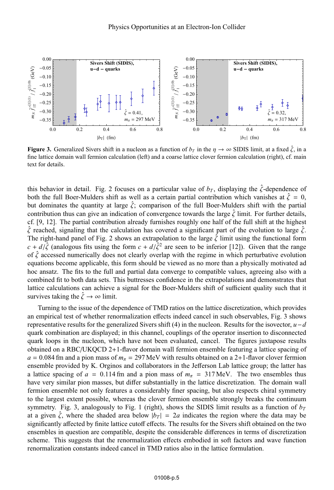

**Figure 3.** Generalized Sivers shift in a nucleon as a function of  $b<sub>T</sub>$  in the  $\eta \to \infty$  SIDIS limit, at a fixed  $\hat{\zeta}$ , in a fine lattice domain wall fermion calculation (left) and a coarse lattice clover fermion calculation (right), cf. main text for details.

this behavior in detail. Fig. 2 focuses on a particular value of  $b_T$ , displaying the  $\hat{\zeta}$ -dependence of both the full Boer-Mulders shift as well as a certain partial contribution which vanishes at  $\hat{\zeta} = 0$ , but dominates the quantity at large  $\hat{\zeta}$ ; comparison of the full Boer-Mulders shift with the partial contribution thus can give an indication of convergence towards the large  $\hat{\zeta}$  limit. For further details, cf. [9, 12]. The partial contribution already furnishes roughly one half of the full shift at the highest  $\zeta$  reached, signaling that the calculation has covered a significant part of the evolution to large  $\zeta$ . The right-hand panel of Fig. 2 shows an extrapolation to the large  $\hat{\zeta}$  limit using the functional form  $c + d/\hat{\zeta}$  (analogous fits using the form  $c + d/\hat{\zeta}^2$  are seen to be inferior [12]). Given that the range of  $\hat{\zeta}$  accessed numerically does not clearly overlap with the regime in which perturbative evolution equations become applicable, this form should be viewed as no more than a physically motivated ad hoc ansatz. The fits to the full and partial data converge to compatible values, agreeing also with a combined fit to both data sets. This buttresses confidence in the extrapolations and demonstrates that lattice calculations can achieve a signal for the Boer-Mulders shift of sufficient quality such that it survives taking the  $\hat{\zeta} \to \infty$  limit.

Turning to the issue of the dependence of TMD ratios on the lattice discretization, which provides an empirical test of whether renormalization effects indeed cancel in such observables, Fig. 3 shows representative results for the generalized Sivers shift (4) in the nucleon. Results for the isovector,  $u-d$ quark combination are displayed; in this channel, couplings of the operator insertion to disconnected quark loops in the nucleon, which have not been evaluated, cancel. The figures juxtapose results obtained on a RBC/UKQCD 2+1-flavor domain wall fermion ensemble featuring a lattice spacing of  $a = 0.084$  fm and a pion mass of  $m<sub>\pi</sub> = 297$  MeV with results obtained on a 2+1-flavor clover fermion ensemble provided by K. Orginos and collaborators in the Jefferson Lab lattice group; the latter has a lattice spacing of  $a = 0.114$  fm and a pion mass of  $m<sub>\pi</sub> = 317$  MeV. The two ensembles thus have very similar pion masses, but differ substantially in the lattice discretization. The domain wall fermion ensemble not only features a considerably finer spacing, but also respects chiral symmetry to the largest extent possible, whereas the clover fermion ensemble strongly breaks the continuum symmetry. Fig. 3, analogously to Fig. 1 (right), shows the SIDIS limit results as a function of  $b_T$ at a given  $\hat{\zeta}$ , where the shaded area below  $|b_T| = 2a$  indicates the region where the data may be significantly affected by finite lattice cutoff effects. The results for the Sivers shift obtained on the two ensembles in question are compatible, despite the considerable differences in terms of discretization scheme. This suggests that the renormalization effects embodied in soft factors and wave function renormalization constants indeed cancel in TMD ratios also in the lattice formulation.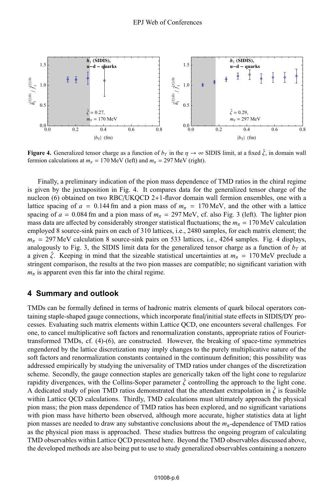

**Figure 4.** Generalized tensor charge as a function of  $b_T$  in the  $\eta \to \infty$  SIDIS limit, at a fixed  $\hat{\zeta}$ , in domain wall fermion calculations at  $m_\pi = 170 \text{ MeV}$  (left) and  $m_\pi = 297 \text{ MeV}$  (right).

Finally, a preliminary indication of the pion mass dependence of TMD ratios in the chiral regime is given by the juxtaposition in Fig. 4. It compares data for the generalized tensor charge of the nucleon (6) obtained on two RBC/UKQCD 2+1-flavor domain wall fermion ensembles, one with a lattice spacing of  $a = 0.144$  fm and a pion mass of  $m<sub>\pi</sub> = 170$  MeV, and the other with a lattice spacing of  $a = 0.084$  fm and a pion mass of  $m<sub>\pi</sub> = 297$  MeV, cf. also Fig. 3 (left). The lighter pion mass data are affected by considerably stronger statistical fluctuations; the  $m_\pi = 170$  MeV calculation employed 8 source-sink pairs on each of 310 lattices, i.e., 2480 samples, for each matrix element; the  $m_{\pi}$  = 297 MeV calculation 8 source-sink pairs on 533 lattices, i.e., 4264 samples. Fig. 4 displays, analogously to Fig. 3, the SIDIS limit data for the generalized tensor charge as a function of  $b<sub>T</sub>$  at a given  $\zeta$ . Keeping in mind that the sizeable statistical uncertainties at  $m_\pi = 170 \text{ MeV}$  preclude a stringent comparison, the results at the two pion masses are compatible; no significant variation with  $m_{\pi}$  is apparent even this far into the chiral regime.

#### **4 Summary and outlook**

TMDs can be formally defined in terms of hadronic matrix elements of quark bilocal operators containing staple-shaped gauge connections, which incorporate final/initial state effects in SIDIS/DY processes. Evaluating such matrix elements within Lattice QCD, one encounters several challenges. For one, to cancel multiplicative soft factors and renormalization constants, appropriate ratios of Fouriertransformed TMDs, cf. (4)-(6), are constructed. However, the breaking of space-time symmetries engendered by the lattice discretization may imply changes to the purely multiplicative nature of the soft factors and renormalization constants contained in the continuum definition; this possibility was addressed empirically by studying the universality of TMD ratios under changes of the discretization scheme. Secondly, the gauge connection staples are generically taken off the light cone to regularize rapidity divergences, with the Collins-Soper parameter  $\zeta$  controlling the approach to the light cone. A dedicated study of pion TMD ratios demonstrated that the attendant extrapolation in  $\hat{\zeta}$  is feasible within Lattice QCD calculations. Thirdly, TMD calculations must ultimately approach the physical pion mass; the pion mass dependence of TMD ratios has been explored, and no significant variations with pion mass have hitherto been observed, although more accurate, higher statistics data at light pion masses are needed to draw any substantive conclusions about the *m*π-dependence of TMD ratios as the physical pion mass is approached. These studies buttress the ongoing program of calculating TMD observables within Lattice QCD presented here. Beyond the TMD observables discussed above, the developed methods are also being put to use to study generalized observables containing a nonzero